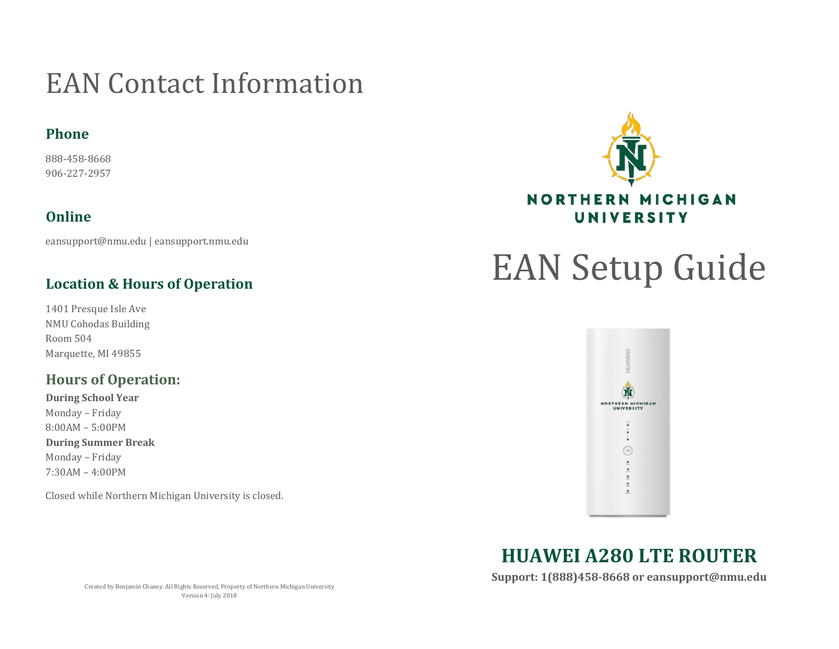### EAN Contact Information

#### **Phone**

888-458-8668 906-227-2957

#### **Online**

eansupport@nmu.edu | eansupport.nmu.edu

#### **Location & Hours of Operation**

1401 Presque Isle Ave NMU Cohodas Building Room 504 Marquette, MI 49855

#### **Hours of Operation:**

**During School Year** Monday – Friday 8:00AM – 5:00PM **During Summer Break** Monday – Friday 7:30AM – 4:00PM

Closed while Northern Michigan University is closed.



# EAN Setup Guide



**HUAWEI A280 LTE ROUTER**

**Support: 1(888)458-8668 or eansupport@nmu.edu**

Created by Benjamin Chaney. All Rights Reserved. Property of Northern Michigan University Version 4: July 2018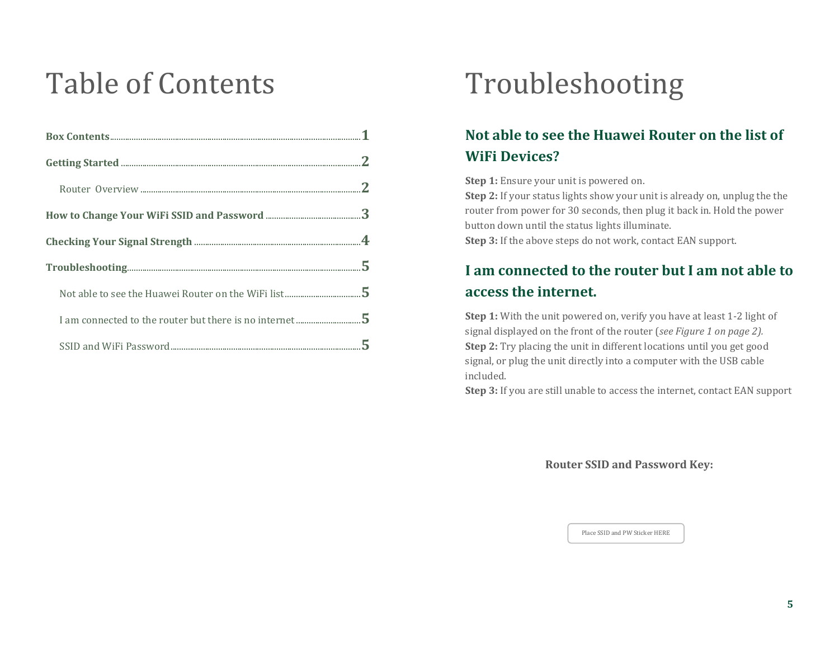## Table of Contents

|                                                                                                                                                                                                                                                                                                                                                                                                                                                                                                                                                                                                                                   | $\mathbf{2}$ |
|-----------------------------------------------------------------------------------------------------------------------------------------------------------------------------------------------------------------------------------------------------------------------------------------------------------------------------------------------------------------------------------------------------------------------------------------------------------------------------------------------------------------------------------------------------------------------------------------------------------------------------------|--------------|
|                                                                                                                                                                                                                                                                                                                                                                                                                                                                                                                                                                                                                                   |              |
|                                                                                                                                                                                                                                                                                                                                                                                                                                                                                                                                                                                                                                   |              |
|                                                                                                                                                                                                                                                                                                                                                                                                                                                                                                                                                                                                                                   |              |
| $\label{thm:main} \text{Troubleshoothing.}. \underline{\hspace{2cm}} \underline{\hspace{2cm}} \underline{\hspace{2cm}} \underline{\hspace{2cm}} \underline{\hspace{2cm}} \underline{\hspace{2cm}} \underline{\hspace{2cm}} \underline{\hspace{2cm}} \underline{\hspace{2cm}} \underline{\hspace{2cm}} \underline{\hspace{2cm}} \underline{\hspace{2cm}} \underline{\hspace{2cm}} \underline{\hspace{2cm}} \underline{\hspace{2cm}} \underline{\hspace{2cm}} \underline{\hspace{2cm}} \underline{\hspace{2cm}} \underline{\hspace{2cm}} \underline{\hspace{2cm}} \underline{\hspace{2cm}} \underline{\hspace{2cm}} \underline{\hs$ |              |
|                                                                                                                                                                                                                                                                                                                                                                                                                                                                                                                                                                                                                                   |              |
|                                                                                                                                                                                                                                                                                                                                                                                                                                                                                                                                                                                                                                   |              |
|                                                                                                                                                                                                                                                                                                                                                                                                                                                                                                                                                                                                                                   |              |

## Troubleshooting

#### **Not able to see the Huawei Router on the list of WiFi Devices?**

**Step 1:** Ensure your unit is powered on.

**Step 2:** If your status lights show your unit is already on, unplug the the router from power for 30 seconds, then plug it back in. Hold the power button down until the status lights illuminate.

**Step 3:** If the above steps do not work, contact EAN support.

#### **I am connected to the router but I am not able to access the internet.**

**Step 1:** With the unit powered on, verify you have at least 1-2 light of signal displayed on the front of the router (*see Figure 1 on page 2).* **Step 2:** Try placing the unit in different locations until you get good signal, or plug the unit directly into a computer with the USB cable included.

**Step 3:** If you are still unable to access the internet, contact EAN support

**Router SSID and Password Key:**

Place SSID and PW Sticker HERE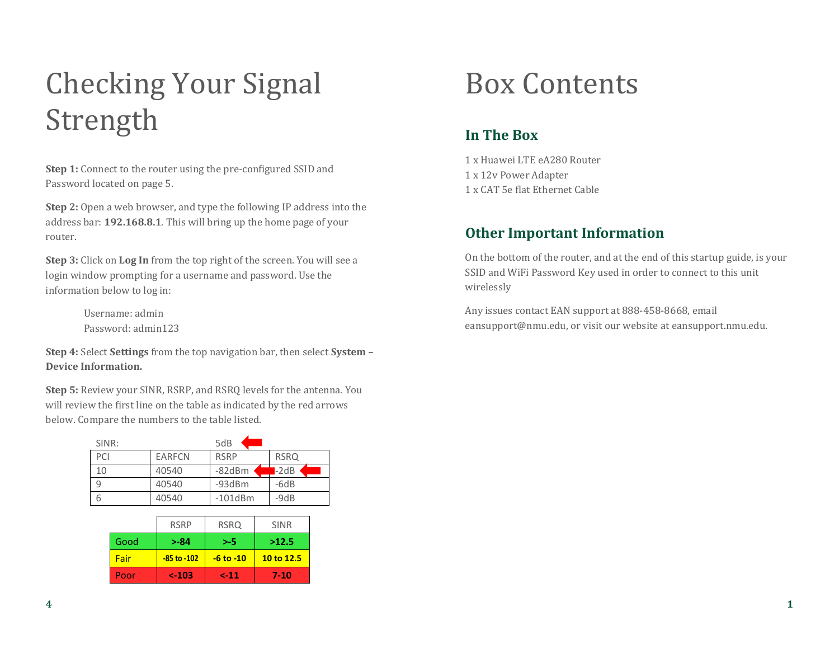## Checking Your Signal Strength

**Step 1:** Connect to the router using the pre-configured SSID and Password located on page 5.

**Step 2:** Open a web browser, and type the following IP address into the address bar: **192.168.8.1**. This will bring up the home page of your router.

**Step 3:** Click on **Log In** from the top right of the screen. You will see a login window prompting for a username and password. Use the information below to log in:

> Username: admin Password: admin123

**Step 4:** Select **Settings** from the top navigation bar, then select **System – Device Information.**

**Step 5:** Review your SINR, RSRP, and RSRQ levels for the antenna. You will review the first line on the table as indicated by the red arrows below. Compare the numbers to the table listed.

| SINR: |               | 5dB           |             |
|-------|---------------|---------------|-------------|
| PCI   | <b>EARFCN</b> | <b>RSRP</b>   | <b>RSRQ</b> |
| 10    | 40540         | $-82dBm$      | $-2dB$      |
| q     | 40540         | $-93dBr$      | $-6dB$      |
| h     | 40540         | $-101$ d $Bm$ | $-9dB$      |

|      | <b>RSRP</b>     | <b>RSRQ</b>   | <b>SINR</b> |
|------|-----------------|---------------|-------------|
| Good | $> -84$         | >-5           | >12.5       |
| Fair | $-85$ to $-102$ | $-6$ to $-10$ | 10 to 12.5  |
| Poor | $< -103$        | $2 - 11$      | 7-10        |

### Box Contents

#### **In The Box**

1 x Huawei LTE eA280 Router 1 x 12v Power Adapter 1 x CAT 5e flat Ethernet Cable

#### **Other Important Information**

On the bottom of the router, and at the end of this startup guide, is your SSID and WiFi Password Key used in order to connect to this unit wirelessly

Any issues contact EAN support at 888-458-8668, email eansupport@nmu.edu, or visit our website at eansupport.nmu.edu.